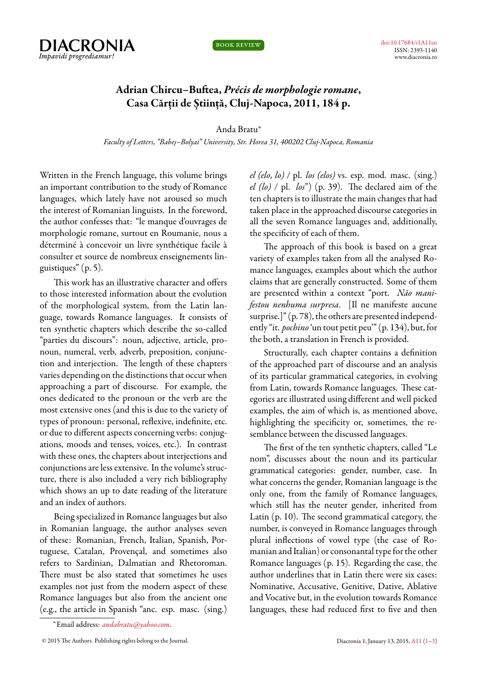

book review

## **Adrian Chircu–Buftea,** *Précis de morphologie romane***, Casa Cărții de Știință, Cluj-Napoca, 2011, 184 p.**

Anda Bratu*<sup>∗</sup>*

*Faculty of Letters, "Babeș–Bolyai" University, Str. Horea 31, 400202 Cluj-Napoca, Romania*

<span id="page-0-0"></span>Written in the French language, this volume brings an important contribution to the study of Romance languages, which lately have not aroused so much the interest of Romanian linguists. In the foreword, the author confesses that: "le manque d'ouvrages de morphologie romane, surtout en Roumanie, nous a déterminé à concevoir un livre synthétique facile à consulter et source de nombreux enseignements linguistiques" (p. 5).

This work has an illustrative character and offers to those interested information about the evolution of the morphological system, from the Latin language, towards Romance languages. It consists of ten synthetic chapters which describe the so-called "parties du discours": noun, adjective, article, pronoun, numeral, verb, adverb, preposition, conjunction and interjection. The length of these chapters varies depending on the distinctions that occur when approaching a part of discourse. For example, the ones dedicated to the pronoun or the verb are the most extensive ones (and this is due to the variety of types of pronoun: personal, reflexive, indefinite, etc. or due to different aspects concerning verbs: conjugations, moods and tenses, voices, etc.). In contrast with these ones, the chapters about interjections and conjunctions are less extensive. In the volume's structure, there is also included a very rich bibliography which shows an up to date reading of the literature and an index of authors.

Being specialized in Romance languages but also in Romanian language, the author analyses seven of these: Romanian, French, Italian, Spanish, Portuguese, Catalan, Provençal, and sometimes also refers to Sardinian, Dalmatian and Rhetoroman. There must be also stated that sometimes he uses examples not just from the modern aspect of these Romance languages but also from the ancient one (e.g., the article in Spanish "anc. esp. masc. (sing.)

*el (elo, lo)* / pl. *los (elos)* vs. esp. mod. masc. (sing.) *el (lo)* / pl. *los*") (p. 39). The declared aim of the ten chapters is to illustrate the main changes that had taken place in the approached discourse categories in all the seven Romance languages and, additionally, the specificity of each of them.

The approach of this book is based on a great variety of examples taken from all the analysed Romance languages, examples about which the author claims that are generally constructed. Some of them are presented within a context "port. *Não manifestou nenhuma surpresa*. [Il ne manifeste aucune surprise.]" (p. 78), the others are presented independently "it. *pochino* 'un tout petit peu'" (p. 134), but, for the both, a translation in French is provided.

Structurally, each chapter contains a definition of the approached part of discourse and an analysis of its particular grammatical categories, in evolving from Latin, towards Romance languages. These categories are illustrated using different and well picked examples, the aim of which is, as mentioned above, highlighting the specificity or, sometimes, the resemblance between the discussed languages.

The first of the ten synthetic chapters, called "Le nom", discusses about the noun and its particular grammatical categories: gender, number, case. In what concerns the gender, Romanian language is the only one, from the family of Romance languages, which still has the neuter gender, inherited from Latin (p. 10). The second grammatical category, the number, is conveyed in Romance languages through plural inflections of vowel type (the case of Romanian and Italian) or consonantal type for the other Romance languages (p. 15). Regarding the case, the author underlines that in Latin there were six cases: Nominative, Accusative, Genitive, Dative, Ablative and Vocative but, in the evolution towards Romance languages, these had reduced first to five and then

*<sup>∗</sup>*Email address: *[andabratu@yahoo.com](mailto:andabratu@yahoo.com)*.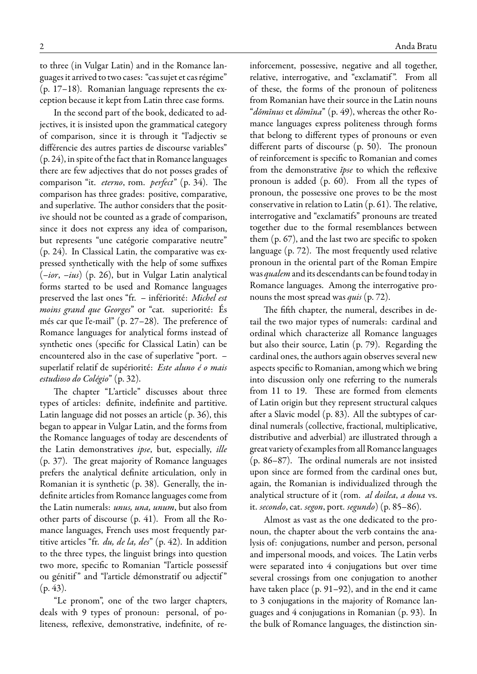to three (in Vulgar Latin) and in the Romance languages it arrived to two cases: "cas sujet et cas régime" (p. 17–18). Romanian language represents the exception because it kept from Latin three case forms.

In the second part of the book, dedicated to adjectives, it is insisted upon the grammatical category of comparison, since it is through it "l'adjectiv se différencie des autres parties de discourse variables" (p. 24), in spite of the fact that in Romance languages there are few adjectives that do not posses grades of comparison "it. *eterno*, rom. *perfect*" (p. 34). The comparison has three grades: positive, comparative, and superlative. The author considers that the positive should not be counted as a grade of comparison, since it does not express any idea of comparison, but represents "une catégorie comparative neutre" (p. 24). In Classical Latin, the comparative was expressed synthetically with the help of some suffixes (*–ior*, *–ius*) (p. 26), but in Vulgar Latin analytical forms started to be used and Romance languages preserved the last ones "fr. – infériorité: *Michel est moins grand que Georges*" or "cat. superiorité: És més car que l'e-mail" (p. 27–28). The preference of Romance languages for analytical forms instead of synthetic ones (specific for Classical Latin) can be encountered also in the case of superlative "port. – superlatif relatif de supériorité: *Este aluno é o mais estudioso do Colégio*" (p. 32).

The chapter "L'article" discusses about three types of articles: definite, indefinite and partitive. Latin language did not posses an article (p. 36), this began to appear in Vulgar Latin, and the forms from the Romance languages of today are descendents of the Latin demonstratives *ipse*, but, especially, *ille* (p. 37). The great majority of Romance languages prefers the analytical definite articulation, only in Romanian it is synthetic (p. 38). Generally, the indefinite articles from Romance languages come from the Latin numerals: *unus, una, unum*, but also from other parts of discourse (p. 41). From all the Romance languages, French uses most frequently partitive articles "fr. *du, de la, des*" (p. 42). In addition to the three types, the linguist brings into question two more, specific to Romanian "l'article possessif ou génitif" and "l'article démonstratif ou adjectif"  $(p. 43)$ .

"Le pronom", one of the two larger chapters, deals with 9 types of pronoun: personal, of politeness, reflexive, demonstrative, indefinite, of reinforcement, possessive, negative and all together, relative, interrogative, and "exclamatif ". From all of these, the forms of the pronoun of politeness from Romanian have their source in the Latin nouns "*dŏmĭnus* et *dŏmĭna*" (p. 49), whereas the other Romance languages express politeness through forms that belong to different types of pronouns or even different parts of discourse (p. 50). The pronoun of reinforcement is specific to Romanian and comes from the demonstrative *ĭpse* to which the reflexive pronoun is added (p. 60). From all the types of pronoun, the possessive one proves to be the most conservative in relation to Latin (p. 61). The relative, interrogative and "exclamatifs" pronouns are treated together due to the formal resemblances between them (p. 67), and the last two are specific to spoken language (p. 72). The most frequently used relative pronoun in the oriental part of the Roman Empire was *qualem* and its descendants can be found today in Romance languages. Among the interrogative pronouns the most spread was *quis* (p. 72).

The fifth chapter, the numeral, describes in detail the two major types of numerals: cardinal and ordinal which characterize all Romance languages but also their source, Latin (p. 79). Regarding the cardinal ones, the authors again observes several new aspects specific to Romanian, among which we bring into discussion only one referring to the numerals from 11 to 19. These are formed from elements of Latin origin but they represent structural calques after a Slavic model (p. 83). All the subtypes of cardinal numerals (collective, fractional, multiplicative, distributive and adverbial) are illustrated through a great variety of examplesfrom all Romance languages (p. 86–87). The ordinal numerals are not insisted upon since are formed from the cardinal ones but, again, the Romanian is individualized through the analytical structure of it (rom. *al doilea*, *a doua* vs. it. *secondo*, cat. *segon*, port. *segundo*) (p. 85–86).

Almost as vast as the one dedicated to the pronoun, the chapter about the verb contains the analysis of: conjugations, number and person, personal and impersonal moods, and voices. The Latin verbs were separated into 4 conjugations but over time several crossings from one conjugation to another have taken place (p. 91–92), and in the end it came to 3 conjugations in the majority of Romance languages and 4 conjugations in Romanian (p. 93). In the bulk of Romance languages, the distinction sin